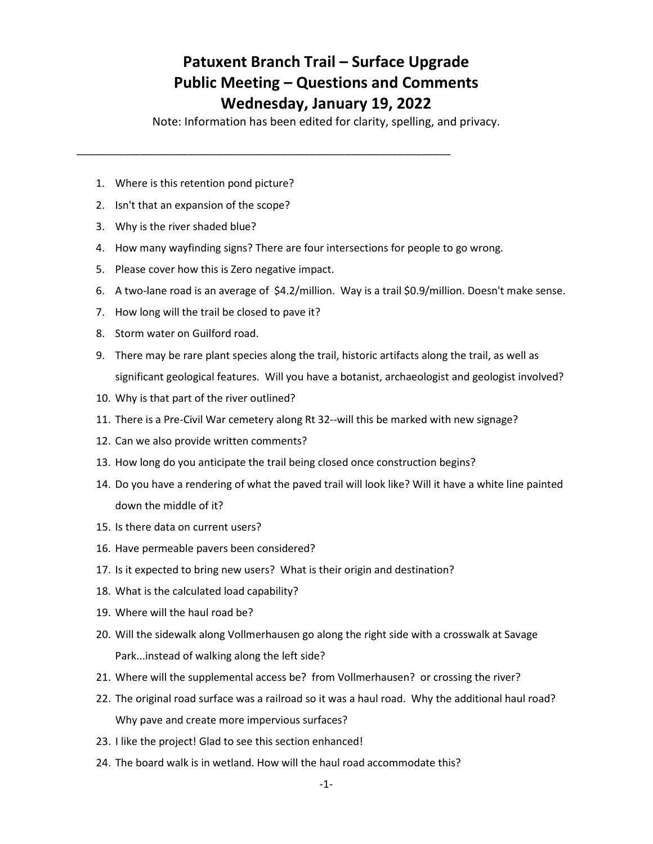## **Patuxent Branch Trail – Surface Upgrade Public Meeting – Questions and Comments Wednesday, January 19, 2022**

Note: Information has been edited for clarity, spelling, and privacy.

- 1. Where is this retention pond picture?
- 2. Isn't that an expansion of the scope?
- 3. Why is the river shaded blue?
- 4. How many wayfinding signs? There are four intersections for people to go wrong.

\_\_\_\_\_\_\_\_\_\_\_\_\_\_\_\_\_\_\_\_\_\_\_\_\_\_\_\_\_\_\_\_\_\_\_\_\_\_\_\_\_\_\_\_\_\_\_\_\_\_\_\_\_\_\_\_\_\_\_\_\_\_\_\_

- 5. Please cover how this is Zero negative impact.
- 6. A two-lane road is an average of \$4.2/million. Way is a trail \$0.9/million. Doesn't make sense.
- 7. How long will the trail be closed to pave it?
- 8. Storm water on Guilford road.
- 9. There may be rare plant species along the trail, historic artifacts along the trail, as well as significant geological features. Will you have a botanist, archaeologist and geologist involved?
- 10. Why is that part of the river outlined?
- 11. There is a Pre-Civil War cemetery along Rt 32--will this be marked with new signage?
- 12. Can we also provide written comments?
- 13. How long do you anticipate the trail being closed once construction begins?
- 14. Do you have a rendering of what the paved trail will look like? Will it have a white line painted down the middle of it?
- 15. Is there data on current users?
- 16. Have permeable pavers been considered?
- 17. Is it expected to bring new users? What is their origin and destination?
- 18. What is the calculated load capability?
- 19. Where will the haul road be?
- 20. Will the sidewalk along Vollmerhausen go along the right side with a crosswalk at Savage Park...instead of walking along the left side?
- 21. Where will the supplemental access be? from Vollmerhausen? or crossing the river?
- 22. The original road surface was a railroad so it was a haul road. Why the additional haul road? Why pave and create more impervious surfaces?
- 23. I like the project! Glad to see this section enhanced!
- 24. The board walk is in wetland. How will the haul road accommodate this?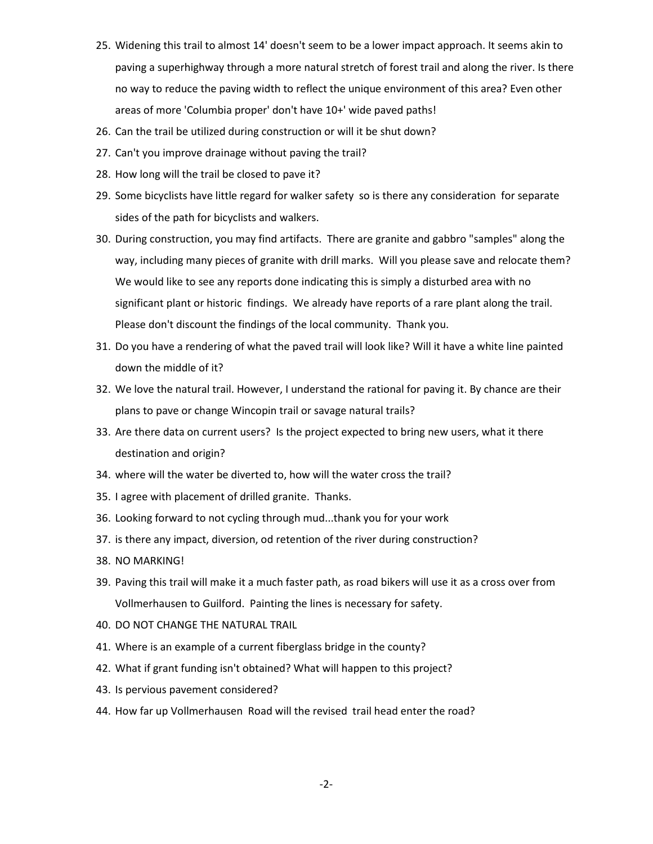- 25. Widening this trail to almost 14' doesn't seem to be a lower impact approach. It seems akin to paving a superhighway through a more natural stretch of forest trail and along the river. Is there no way to reduce the paving width to reflect the unique environment of this area? Even other areas of more 'Columbia proper' don't have 10+' wide paved paths!
- 26. Can the trail be utilized during construction or will it be shut down?
- 27. Can't you improve drainage without paving the trail?
- 28. How long will the trail be closed to pave it?
- 29. Some bicyclists have little regard for walker safety so is there any consideration for separate sides of the path for bicyclists and walkers.
- 30. During construction, you may find artifacts. There are granite and gabbro "samples" along the way, including many pieces of granite with drill marks. Will you please save and relocate them? We would like to see any reports done indicating this is simply a disturbed area with no significant plant or historic findings. We already have reports of a rare plant along the trail. Please don't discount the findings of the local community. Thank you.
- 31. Do you have a rendering of what the paved trail will look like? Will it have a white line painted down the middle of it?
- 32. We love the natural trail. However, I understand the rational for paving it. By chance are their plans to pave or change Wincopin trail or savage natural trails?
- 33. Are there data on current users? Is the project expected to bring new users, what it there destination and origin?
- 34. where will the water be diverted to, how will the water cross the trail?
- 35. I agree with placement of drilled granite. Thanks.
- 36. Looking forward to not cycling through mud...thank you for your work
- 37. is there any impact, diversion, od retention of the river during construction?
- 38. NO MARKING!
- 39. Paving this trail will make it a much faster path, as road bikers will use it as a cross over from Vollmerhausen to Guilford. Painting the lines is necessary for safety.
- 40. DO NOT CHANGE THE NATURAL TRAIL
- 41. Where is an example of a current fiberglass bridge in the county?
- 42. What if grant funding isn't obtained? What will happen to this project?
- 43. Is pervious pavement considered?
- 44. How far up Vollmerhausen Road will the revised trail head enter the road?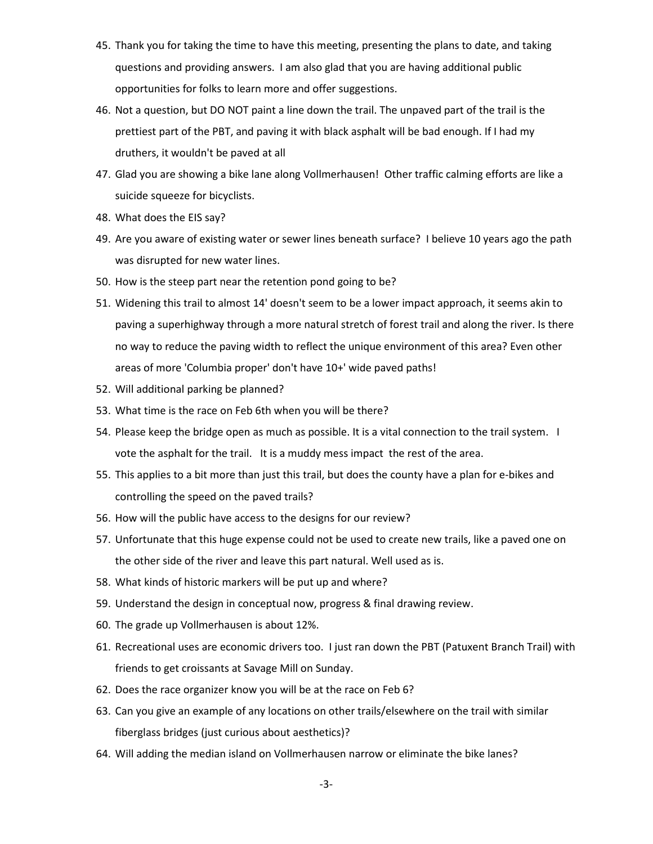- 45. Thank you for taking the time to have this meeting, presenting the plans to date, and taking questions and providing answers. I am also glad that you are having additional public opportunities for folks to learn more and offer suggestions.
- 46. Not a question, but DO NOT paint a line down the trail. The unpaved part of the trail is the prettiest part of the PBT, and paving it with black asphalt will be bad enough. If I had my druthers, it wouldn't be paved at all
- 47. Glad you are showing a bike lane along Vollmerhausen! Other traffic calming efforts are like a suicide squeeze for bicyclists.
- 48. What does the EIS say?
- 49. Are you aware of existing water or sewer lines beneath surface? I believe 10 years ago the path was disrupted for new water lines.
- 50. How is the steep part near the retention pond going to be?
- 51. Widening this trail to almost 14' doesn't seem to be a lower impact approach, it seems akin to paving a superhighway through a more natural stretch of forest trail and along the river. Is there no way to reduce the paving width to reflect the unique environment of this area? Even other areas of more 'Columbia proper' don't have 10+' wide paved paths!
- 52. Will additional parking be planned?
- 53. What time is the race on Feb 6th when you will be there?
- 54. Please keep the bridge open as much as possible. It is a vital connection to the trail system. I vote the asphalt for the trail. It is a muddy mess impact the rest of the area.
- 55. This applies to a bit more than just this trail, but does the county have a plan for e-bikes and controlling the speed on the paved trails?
- 56. How will the public have access to the designs for our review?
- 57. Unfortunate that this huge expense could not be used to create new trails, like a paved one on the other side of the river and leave this part natural. Well used as is.
- 58. What kinds of historic markers will be put up and where?
- 59. Understand the design in conceptual now, progress & final drawing review.
- 60. The grade up Vollmerhausen is about 12%.
- 61. Recreational uses are economic drivers too. I just ran down the PBT (Patuxent Branch Trail) with friends to get croissants at Savage Mill on Sunday.
- 62. Does the race organizer know you will be at the race on Feb 6?
- 63. Can you give an example of any locations on other trails/elsewhere on the trail with similar fiberglass bridges (just curious about aesthetics)?
- 64. Will adding the median island on Vollmerhausen narrow or eliminate the bike lanes?